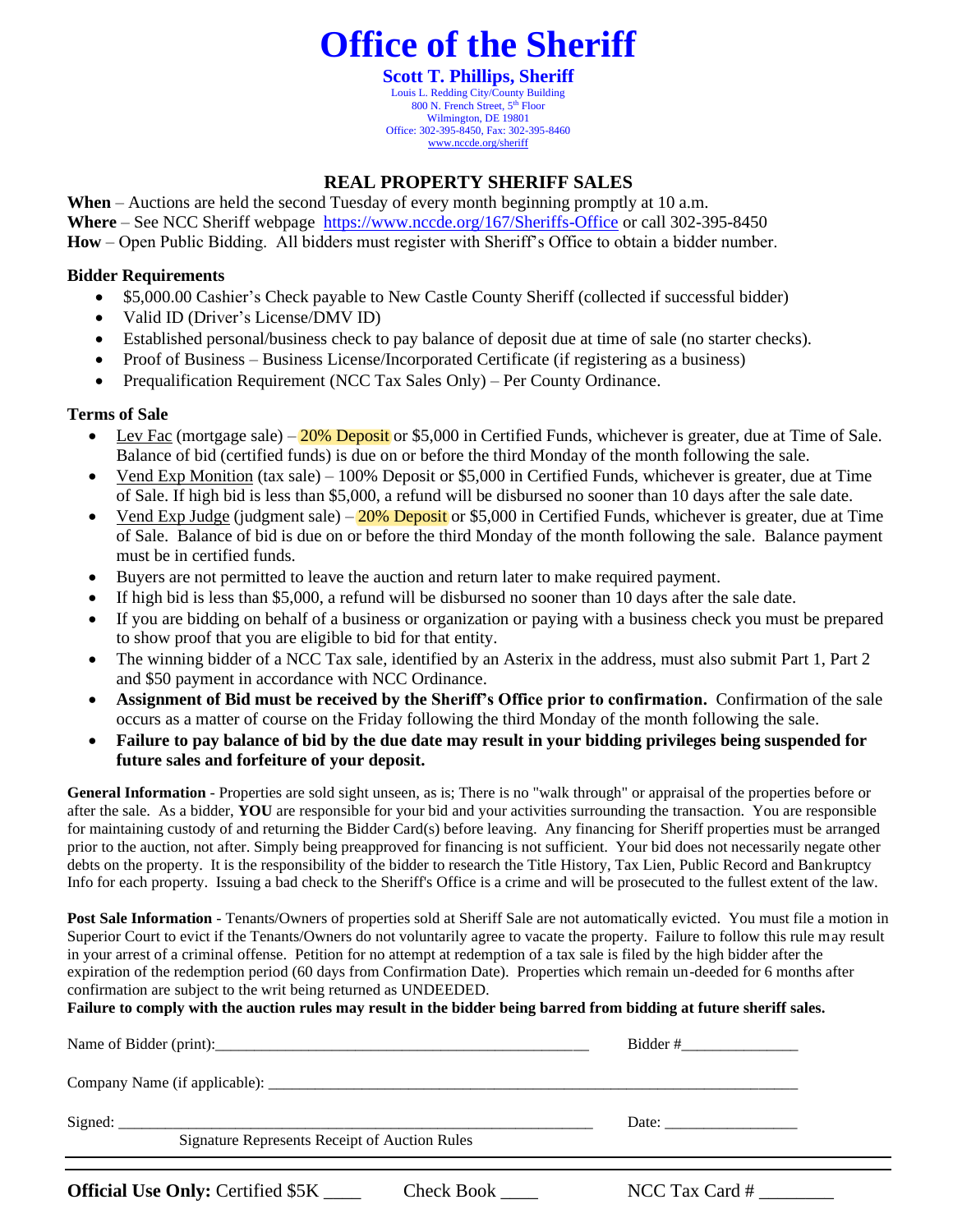### **Office of the Sheriff**

**Scott T. Phillips, Sheriff** Louis L. Redding City/County Building 800 N. French Street, 5<sup>th</sup> Floor Wilmington, DE 19801 Office: 302-395-8450, Fax: 302-395-8460 [www.nccde.org/sheriff](http://www.nccde.org/sheriff)

#### **REAL PROPERTY SHERIFF SALES**

**When** – Auctions are held the second Tuesday of every month beginning promptly at 10 a.m. **Where** – See NCC Sheriff webpage <https://www.nccde.org/167/Sheriffs-Office> or call 302-395-8450 **How** – Open Public Bidding. All bidders must register with Sheriff's Office to obtain a bidder number.

#### **Bidder Requirements**

- \$5,000.00 Cashier's Check payable to New Castle County Sheriff (collected if successful bidder)
- Valid ID (Driver's License/DMV ID)
- Established personal/business check to pay balance of deposit due at time of sale (no starter checks).
- Proof of Business Business License/Incorporated Certificate (if registering as a business)
- Prequalification Requirement (NCC Tax Sales Only) Per County Ordinance.

#### **Terms of Sale**

- Lev Fac (mortgage sale)  $-20\%$  Deposit or \$5,000 in Certified Funds, whichever is greater, due at Time of Sale. Balance of bid (certified funds) is due on or before the third Monday of the month following the sale.
- Vend Exp Monition (tax sale) 100% Deposit or \$5,000 in Certified Funds, whichever is greater, due at Time of Sale. If high bid is less than \$5,000, a refund will be disbursed no sooner than 10 days after the sale date.
- Vend Exp Judge (judgment sale)  $-20\%$  Deposit or \$5,000 in Certified Funds, whichever is greater, due at Time of Sale. Balance of bid is due on or before the third Monday of the month following the sale. Balance payment must be in certified funds.
- Buyers are not permitted to leave the auction and return later to make required payment.
- If high bid is less than \$5,000, a refund will be disbursed no sooner than 10 days after the sale date.
- If you are bidding on behalf of a business or organization or paying with a business check you must be prepared to show proof that you are eligible to bid for that entity.
- The winning bidder of a NCC Tax sale, identified by an Asterix in the address, must also submit Part 1, Part 2 and \$50 payment in accordance with NCC Ordinance.
- **Assignment of Bid must be received by the Sheriff's Office prior to confirmation.** Confirmation of the sale occurs as a matter of course on the Friday following the third Monday of the month following the sale.
- **Failure to pay balance of bid by the due date may result in your bidding privileges being suspended for future sales and forfeiture of your deposit.**

**General Information** - Properties are sold sight unseen, as is; There is no "walk through" or appraisal of the properties before or after the sale. As a bidder, **YOU** are responsible for your bid and your activities surrounding the transaction. You are responsible for maintaining custody of and returning the Bidder Card(s) before leaving. Any financing for Sheriff properties must be arranged prior to the auction, not after. Simply being preapproved for financing is not sufficient. Your bid does not necessarily negate other debts on the property. It is the responsibility of the bidder to research the Title History, Tax Lien, Public Record and Bankruptcy Info for each property. Issuing a bad check to the Sheriff's Office is a crime and will be prosecuted to the fullest extent of the law.

**Post Sale Information** - Tenants/Owners of properties sold at Sheriff Sale are not automatically evicted. You must file a motion in Superior Court to evict if the Tenants/Owners do not voluntarily agree to vacate the property. Failure to follow this rule may result in your arrest of a criminal offense. Petition for no attempt at redemption of a tax sale is filed by the high bidder after the expiration of the redemption period (60 days from Confirmation Date). Properties which remain un-deeded for 6 months after confirmation are subject to the writ being returned as UNDEEDED.

**Failure to comply with the auction rules may result in the bidder being barred from bidding at future sheriff sales.** 

| Signed: Signed: Signed: Signed: Signed: Signed: Signed: Signed: Signed: Signed: Signed: Signed: Signed: Signed: Signed: Signed: Signed: Signed: Signed: Signed: Signed: Signed: Signed: Signed: Signed: Signed: Signed: Signed<br><b>Signature Represents Receipt of Auction Rules</b> | Date:            |
|----------------------------------------------------------------------------------------------------------------------------------------------------------------------------------------------------------------------------------------------------------------------------------------|------------------|
|                                                                                                                                                                                                                                                                                        |                  |
| <b>Official Use Only: Certified \$5K</b> ____<br>Check Book                                                                                                                                                                                                                            | NCC Tax Card $#$ |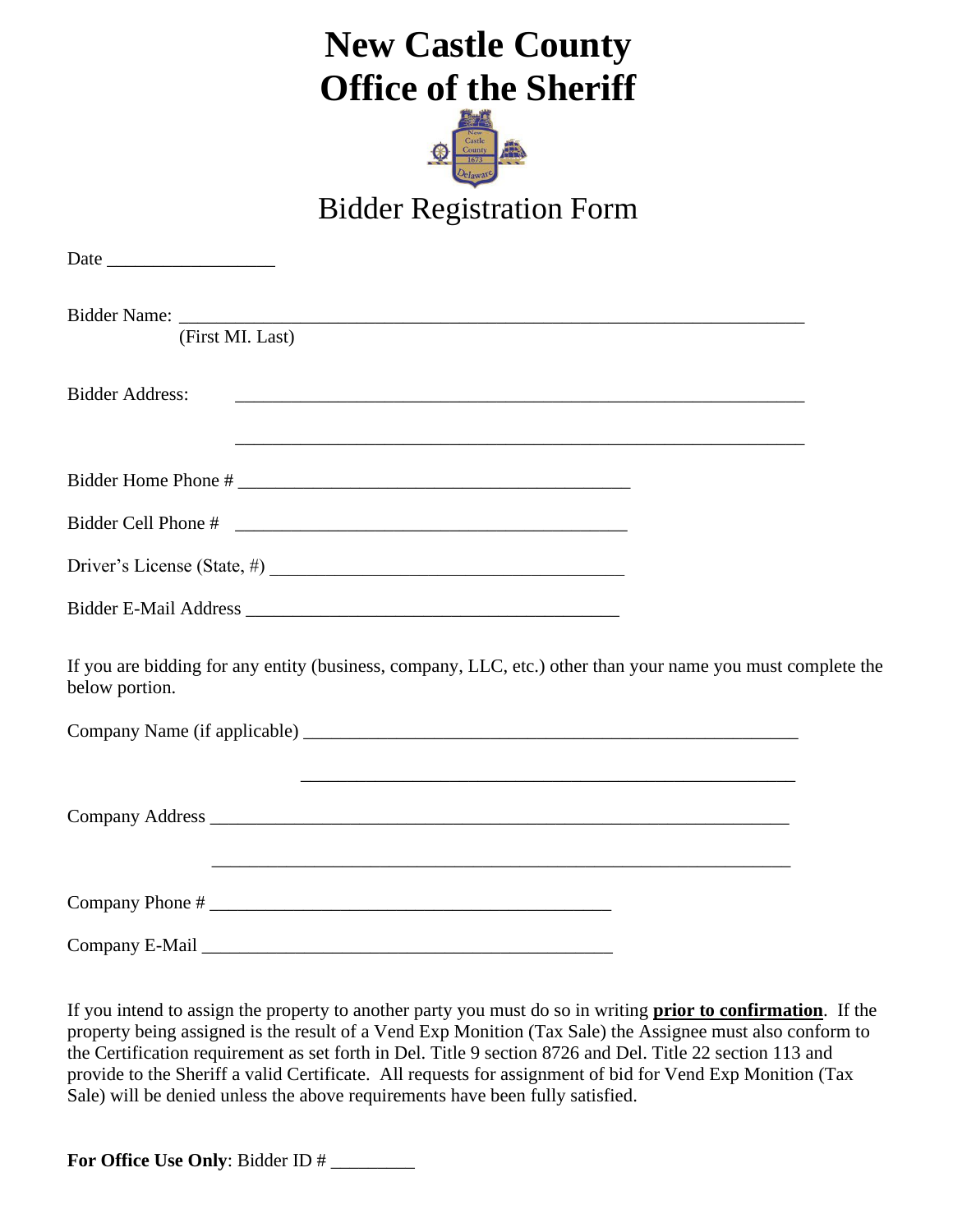## **New Castle County Office of the Sheriff**



### Bidder Registration Form

| (First MI. Last)                                                                                                              |  |
|-------------------------------------------------------------------------------------------------------------------------------|--|
| <b>Bidder Address:</b>                                                                                                        |  |
|                                                                                                                               |  |
|                                                                                                                               |  |
| Driver's License (State, #) $\frac{1}{2}$                                                                                     |  |
|                                                                                                                               |  |
| If you are bidding for any entity (business, company, LLC, etc.) other than your name you must complete the<br>below portion. |  |
|                                                                                                                               |  |
|                                                                                                                               |  |
|                                                                                                                               |  |
| Company E-Mail                                                                                                                |  |

If you intend to assign the property to another party you must do so in writing **prior to confirmation**. If the property being assigned is the result of a Vend Exp Monition (Tax Sale) the Assignee must also conform to the Certification requirement as set forth in Del. Title 9 section 8726 and Del. Title 22 section 113 and provide to the Sheriff a valid Certificate. All requests for assignment of bid for Vend Exp Monition (Tax Sale) will be denied unless the above requirements have been fully satisfied.

**For Office Use Only**: Bidder ID # \_\_\_\_\_\_\_\_\_